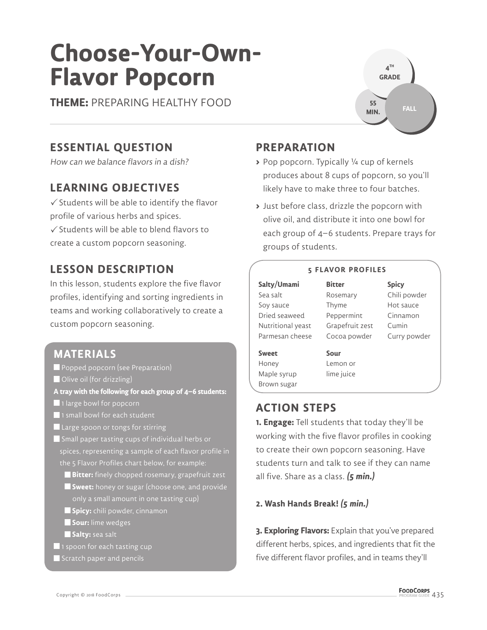# **Choose-Your-Own-Flavor Popcorn**

**THEME:** PREPARING HEALTHY FOOD

# **ESSENTIAL QUESTION**

How can we balance flavors in a dish?

## **LEARNING OBJECTIVES**

 $\checkmark$  Students will be able to identify the flavor profile of various herbs and spices.  $\checkmark$  Students will be able to blend flavors to

create a custom popcorn seasoning.

# **LESSON DESCRIPTION**

In this lesson, students explore the five flavor profiles, identifying and sorting ingredients in teams and working collaboratively to create a custom popcorn seasoning.

## **MATERIALS**

- Popped popcorn (see Preparation)
- Olive oil (for drizzling)
- **A tray with the following for each group of 4–6 students:**
- **1** large bowl for popcorn
- 1 small bowl for each student
- **Large spoon or tongs for stirring**
- Small paper tasting cups of individual herbs or spices, representing a sample of each flavor profile in
	- **Bitter:** finely chopped rosemary, grapefruit zest
	- **Sweet:** honey or sugar (choose one, and provide only a small amount in one tasting cup)
	- **Spicy:** chili powder, cinnamon
	- **Sour:** lime wedges
	- **Salty:** sea salt
- **1** 1 spoon for each tasting cup
- $\blacksquare$  Scratch paper and pencils

# **PREPARATION**

- **>** Pop popcorn. Typically ¼ cup of kernels produces about 8 cups of popcorn, so you'll likely have to make three to four batches.
- **>** Just before class, drizzle the popcorn with olive oil, and distribute it into one bowl for each group of 4–6 students. Prepare trays for groups of students.

#### **5 FLAVOR PROFILES**

**Bitter**

**Salty/Umami** Sea salt Soy sauce Dried seaweed Nutritional yeast Parmesan cheese

Rosemary Thyme Peppermint Grapefruit zest Cocoa powder

**Spicy** Chili powder Hot sauce Cinnamon Cumin Curry powder

**Sweet** Honey Maple syrup Brown sugar **Sour** Lemon or lime juice

# **ACTION STEPS**

**1. Engage:** Tell students that today they'll be working with the five flavor profiles in cooking to create their own popcorn seasoning. Have students turn and talk to see if they can name all five. Share as a class. **(5 min.)**

**2. Wash Hands Break! (5 min.)**

**3. Exploring Flavors:** Explain that you've prepared different herbs, spices, and ingredients that fit the five different flavor profiles, and in teams they'll